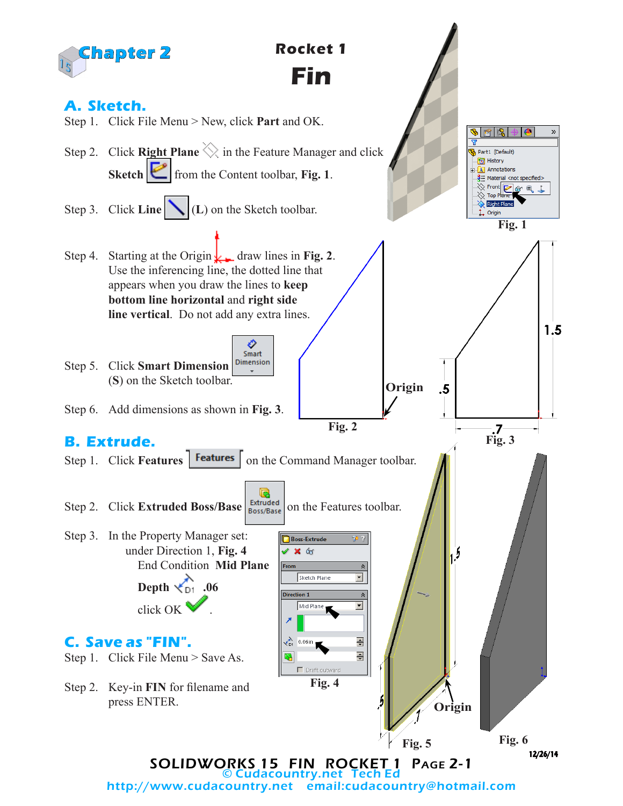

© Cudacountry.net Tech Ed email:cudacountry@hotmail.com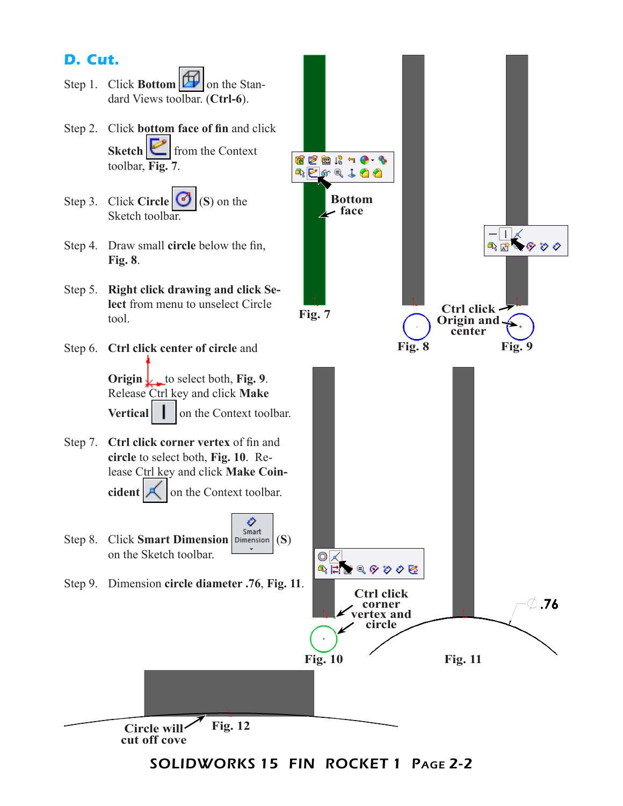

SOLIDWORKS 15 FIN ROCKET 1 Page 2-2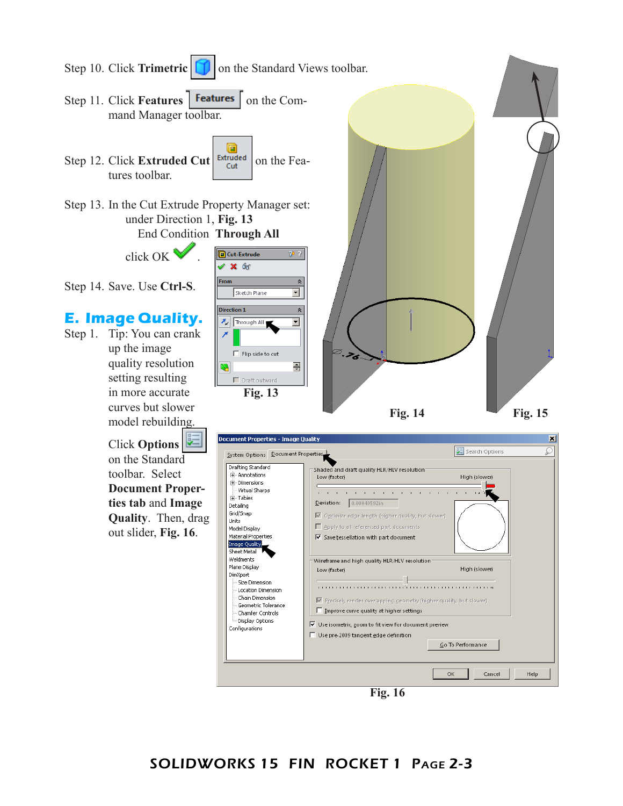

**Fig. 16**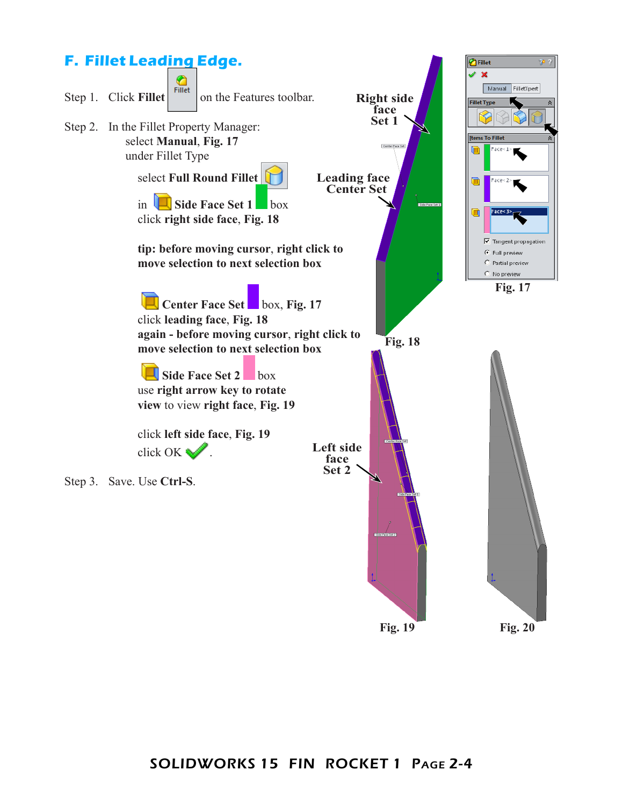

**Fig. 19 Fig. 20**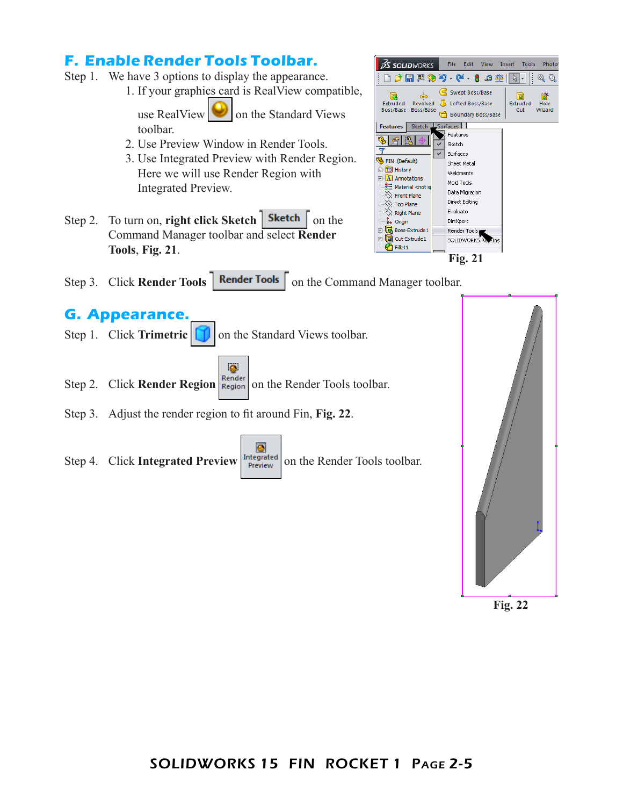## **F. Enable Render Tools Toolbar.**

- Step 1. We have 3 options to display the appearance.
	- 1. If your graphics card is RealView compatible,

use RealView  $\|\cdot\|$  on the Standard Views toolbar.

- 2. Use Preview Window in Render Tools.
- 3. Use Integrated Preview with Render Region. Here we will use Render Region with Integrated Preview.
- Step 2. To turn on, **right click Sketch** | **Sketch** | on the Command Manager toolbar and select **Render Tools**, **Fig. 21**.



Step 3. Click **Render Tools** | **Render Tools** | on the Command Manager toolbar.

## **G. Appearance.**

- Step 1. Click **Trimetric T** on the Standard Views toolbar.
	- $\bullet$
- Step 2. Click **Render Region Render** on the Render Tools toolbar.
- Step 3. Adjust the render region to fit around Fin, **Fig. 22**.
- $\bullet$ Step 4. Click **Integrated Preview** Integrated on the Render Tools toolbar.